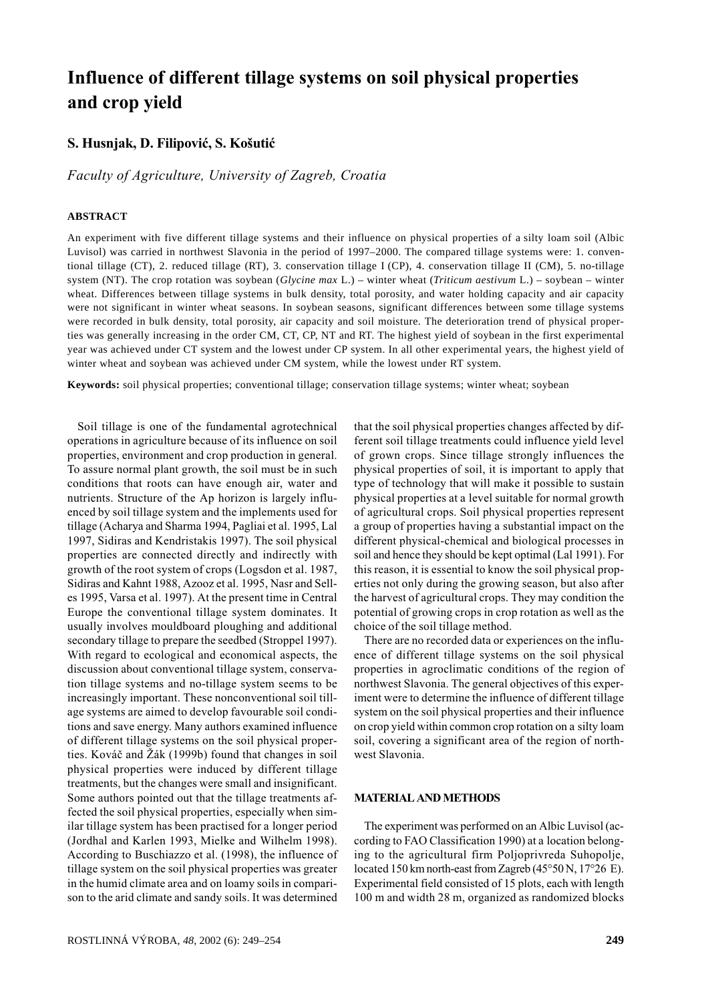# Influence of different tillage systems on soil physical properties and crop yield

## S. Husnjak, D. Filipović, S. Košutić

Faculty of Agriculture, University of Zagreb, Croatia

#### **ABSTRACT**

An experiment with five different tillage systems and their influence on physical properties of a silty loam soil (Albic Luvisol) was carried in northwest Slavonia in the period of 1997–2000. The compared tillage systems were: 1. conventional tillage (CT), 2. reduced tillage (RT), 3. conservation tillage I (CP), 4. conservation tillage II (CM), 5. no-tillage system (NT). The crop rotation was soybean (*Glycine max* L.) – winter wheat (*Triticum aestivum* L.) – soybean – winter wheat. Differences between tillage systems in bulk density, total porosity, and water holding capacity and air capacity were not significant in winter wheat seasons. In soybean seasons, significant differences between some tillage systems were recorded in bulk density, total porosity, air capacity and soil moisture. The deterioration trend of physical properties was generally increasing in the order CM, CT, CP, NT and RT. The highest yield of soybean in the first experimental year was achieved under CT system and the lowest under CP system. In all other experimental years, the highest yield of winter wheat and soybean was achieved under CM system, while the lowest under RT system.

**Keywords:** soil physical properties; conventional tillage; conservation tillage systems; winter wheat; soybean

Soil tillage is one of the fundamental agrotechnical operations in agriculture because of its influence on soil properties, environment and crop production in general. To assure normal plant growth, the soil must be in such conditions that roots can have enough air, water and nutrients. Structure of the Ap horizon is largely influenced by soil tillage system and the implements used for tillage (Acharya and Sharma 1994, Pagliai et al. 1995, Lal 1997, Sidiras and Kendristakis 1997). The soil physical properties are connected directly and indirectly with growth of the root system of crops (Logsdon et al. 1987, Sidiras and Kahnt 1988, Azooz et al. 1995, Nasr and Selles 1995, Varsa et al. 1997). At the present time in Central Europe the conventional tillage system dominates. It usually involves mouldboard ploughing and additional secondary tillage to prepare the seedbed (Stroppel 1997). With regard to ecological and economical aspects, the discussion about conventional tillage system, conservation tillage systems and no-tillage system seems to be increasingly important. These nonconventional soil tillage systems are aimed to develop favourable soil conditions and save energy. Many authors examined influence of different tillage systems on the soil physical properties. Kováč and Žák (1999b) found that changes in soil physical properties were induced by different tillage treatments, but the changes were small and insignificant. Some authors pointed out that the tillage treatments affected the soil physical properties, especially when similar tillage system has been practised for a longer period (Jordhal and Karlen 1993, Mielke and Wilhelm 1998). According to Buschiazzo et al. (1998), the influence of tillage system on the soil physical properties was greater in the humid climate area and on loamy soils in comparison to the arid climate and sandy soils. It was determined

that the soil physical properties changes affected by different soil tillage treatments could influence yield level of grown crops. Since tillage strongly influences the physical properties of soil, it is important to apply that type of technology that will make it possible to sustain physical properties at a level suitable for normal growth of agricultural crops. Soil physical properties represent a group of properties having a substantial impact on the different physical-chemical and biological processes in soil and hence they should be kept optimal (Lal 1991). For this reason, it is essential to know the soil physical properties not only during the growing season, but also after the harvest of agricultural crops. They may condition the potential of growing crops in crop rotation as well as the choice of the soil tillage method.

There are no recorded data or experiences on the influence of different tillage systems on the soil physical properties in agroclimatic conditions of the region of northwest Slavonia. The general objectives of this experiment were to determine the influence of different tillage system on the soil physical properties and their influence on crop yield within common crop rotation on a silty loam soil, covering a significant area of the region of northwest Slavonia.

#### **MATERIAL AND METHODS**

The experiment was performed on an Albic Luvisol (according to FAO Classification 1990) at a location belonging to the agricultural firm Poljoprivreda Suhopolje, located 150 km north-east from Zagreb (45°50 N, 17°26 E). Experimental field consisted of 15 plots, each with length 100 m and width 28 m, organized as randomized blocks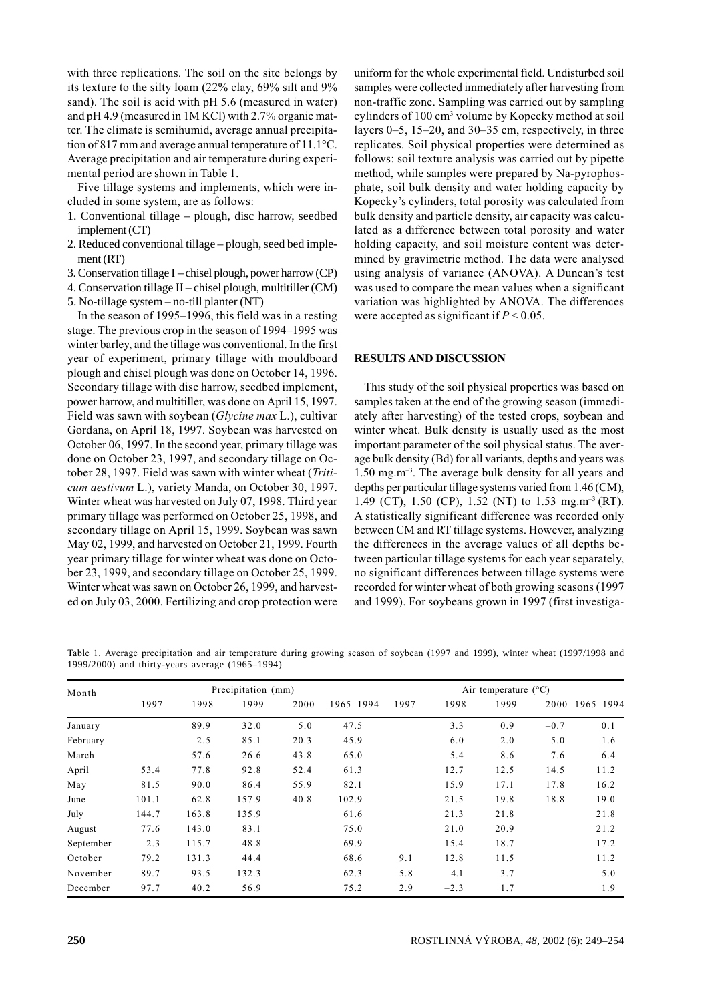with three replications. The soil on the site belongs by its texture to the silty loam (22% clay, 69% silt and 9% sand). The soil is acid with pH 5.6 (measured in water) and pH 4.9 (measured in 1M KCl) with 2.7% organic matter. The climate is semihumid, average annual precipitation of 817 mm and average annual temperature of  $11.1^{\circ}$ C. Average precipitation and air temperature during experimental period are shown in Table 1.

Five tillage systems and implements, which were included in some system, are as follows:

- 1. Conventional tillage plough, disc harrow, seedbed implement (CT)
- 2. Reduced conventional tillage plough, seed bed implement (RT)
- 3. Conservation tillage I chisel plough, power harrow (CP)
- 4. Conservation tillage II chisel plough, multitiller (CM)
- 5. No-tillage system no-till planter (NT)

In the season of 1995–1996, this field was in a resting stage. The previous crop in the season of 1994–1995 was winter barley, and the tillage was conventional. In the first year of experiment, primary tillage with mouldboard plough and chisel plough was done on October 14, 1996. Secondary tillage with disc harrow, seedbed implement, power harrow, and multitiller, was done on April 15, 1997. Field was sawn with soybean (Glycine max L.), cultivar Gordana, on April 18, 1997. Soybean was harvested on October 06, 1997. In the second year, primary tillage was done on October 23, 1997, and secondary tillage on October 28, 1997. Field was sawn with winter wheat (Triticum aestivum L.), variety Manda, on October 30, 1997. Winter wheat was harvested on July 07, 1998. Third year primary tillage was performed on October 25, 1998, and secondary tillage on April 15, 1999. Soybean was sawn May 02, 1999, and harvested on October 21, 1999. Fourth year primary tillage for winter wheat was done on October 23, 1999, and secondary tillage on October 25, 1999. Winter wheat was sawn on October 26, 1999, and harvested on July 03, 2000. Fertilizing and crop protection were uniform for the whole experimental field. Undisturbed soil samples were collected immediately after harvesting from non-traffic zone. Sampling was carried out by sampling cylinders of 100 cm<sup>3</sup> volume by Kopecky method at soil layers  $0-5$ ,  $15-20$ , and  $30-35$  cm, respectively, in three replicates. Soil physical properties were determined as follows: soil texture analysis was carried out by pipette method, while samples were prepared by Na-pyrophosphate, soil bulk density and water holding capacity by Kopecky's cylinders, total porosity was calculated from bulk density and particle density, air capacity was calculated as a difference between total porosity and water holding capacity, and soil moisture content was determined by gravimetric method. The data were analysed using analysis of variance (ANOVA). A Duncan's test was used to compare the mean values when a significant variation was highlighted by ANOVA. The differences were accepted as significant if  $P < 0.05$ .

### RESULTS AND DISCUSSION

This study of the soil physical properties was based on samples taken at the end of the growing season (immediately after harvesting) of the tested crops, soybean and winter wheat. Bulk density is usually used as the most important parameter of the soil physical status. The average bulk density (Bd) for all variants, depths and years was  $1.50$  mg.m<sup>-3</sup>. The average bulk density for all years and depths per particular tillage systems varied from 1.46 (CM), 1.49 (CT), 1.50 (CP), 1.52 (NT) to 1.53 mg.m<sup>-3</sup> (RT). A statistically significant difference was recorded only between CM and RT tillage systems. However, analyzing the differences in the average values of all depths between particular tillage systems for each year separately, no significant differences between tillage systems were recorded for winter wheat of both growing seasons (1997 and 1999). For soybeans grown in 1997 (first investiga-

Table 1. Average precipitation and air temperature during growing season of soybean (1997 and 1999), winter wheat (1997/1998 and 1999/2000) and thirty-years average (1965–1994)

| Month     |       |       | Precipitation (mm) |      |           |      |        | Air temperature $(^{\circ}C)$ |        |           |
|-----------|-------|-------|--------------------|------|-----------|------|--------|-------------------------------|--------|-----------|
|           | 1997  | 1998  | 1999               | 2000 | 1965-1994 | 1997 | 1998   | 1999                          | 2000   | 1965-1994 |
| January   |       | 89.9  | 32.0               | 5.0  | 47.5      |      | 3.3    | 0.9                           | $-0.7$ | 0.1       |
| February  |       | 2.5   | 85.1               | 20.3 | 45.9      |      | 6.0    | 2.0                           | 5.0    | 1.6       |
| March     |       | 57.6  | 26.6               | 43.8 | 65.0      |      | 5.4    | 8.6                           | 7.6    | 6.4       |
| April     | 53.4  | 77.8  | 92.8               | 52.4 | 61.3      |      | 12.7   | 12.5                          | 14.5   | 11.2      |
| May       | 81.5  | 90.0  | 86.4               | 55.9 | 82.1      |      | 15.9   | 17.1                          | 17.8   | 16.2      |
| June      | 101.1 | 62.8  | 157.9              | 40.8 | 102.9     |      | 21.5   | 19.8                          | 18.8   | 19.0      |
| July      | 144.7 | 163.8 | 135.9              |      | 61.6      |      | 21.3   | 21.8                          |        | 21.8      |
| August    | 77.6  | 143.0 | 83.1               |      | 75.0      |      | 21.0   | 20.9                          |        | 21.2      |
| September | 2.3   | 115.7 | 48.8               |      | 69.9      |      | 15.4   | 18.7                          |        | 17.2      |
| October   | 79.2  | 131.3 | 44.4               |      | 68.6      | 9.1  | 12.8   | 11.5                          |        | 11.2      |
| November  | 89.7  | 93.5  | 132.3              |      | 62.3      | 5.8  | 4.1    | 3.7                           |        | 5.0       |
| December  | 97.7  | 40.2  | 56.9               |      | 75.2      | 2.9  | $-2.3$ | 1.7                           |        | 1.9       |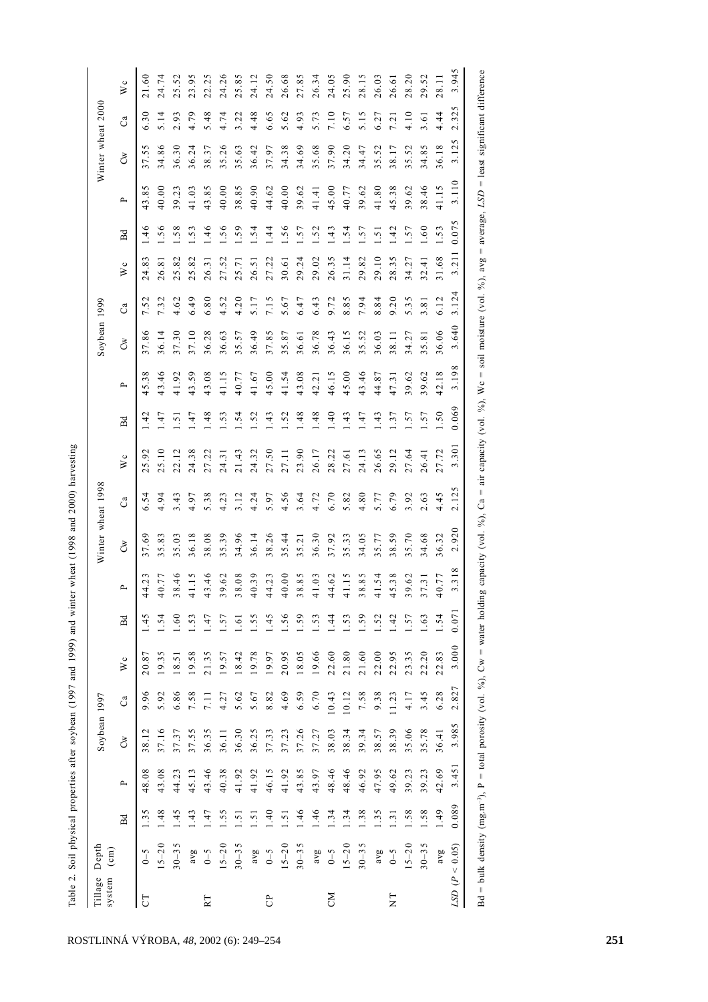|                   |                      |                  |                          |              |       |       |            | Table 2. Soil physical properties after soybean (1997 and 1999) and winter wheat (1998 and 2000) harvesting |                   |       |       |                  |       |              |                |       |                |       |                   |       |           |
|-------------------|----------------------|------------------|--------------------------|--------------|-------|-------|------------|-------------------------------------------------------------------------------------------------------------|-------------------|-------|-------|------------------|-------|--------------|----------------|-------|----------------|-------|-------------------|-------|-----------|
| Tillage<br>system | Depth<br>$\epsilon$  |                  |                          | Soybean 1997 |       |       |            |                                                                                                             | Winter wheat 1998 |       |       |                  |       | Soybean 1999 |                |       |                |       | Winter wheat 2000 |       |           |
|                   |                      | Bd               | $\overline{\phantom{a}}$ | ර්           | ී     | W c   | Bd         | ≏                                                                                                           | ర్                | ී     | W c   | Bd               | ≏     | ර්           | C <sub>a</sub> | W c   | <b>R</b>       | ≏     | రీ                | Ca    | $\bar{w}$ |
| CT                | $\zeta$ – 0          | 1.35             | 48.08                    | 38.12        | 9.96  | 20.87 | $-45$      | 44.23                                                                                                       | 37.69             | 6.54  | 5.92  | 1.42             | 45.38 | 7.86         | 7.52           | 24.83 | 1.46           | 43.85 | 37.5              | 6.30  | 21.60     |
|                   | $5 - 20$             | $-48$            | 43.08                    | 37.16        | 5.92  | 19.35 | .54        | 40.77                                                                                                       | 35.83             | 4.94  | 5.10  | 47               | 43.46 | 36.14        | 7.32           | 26.81 | .56            | 40.00 | 34.86             | 5.14  | 24.74     |
|                   | $30 - 35$            | $-45$            | 44.23                    | 37.37        | 6.86  | 18.51 | 60         | 38.46                                                                                                       | 35.03             | 3.43  | 22.12 | $\ddot{5}$       | 41.92 | 37.30        | 4.62           | 25.82 | .58            | 39.23 | 36.30             | 2.93  | 25.52     |
|                   | avg                  | $\ddot{4}$       | 45.13                    | 37.55        | 7.58  | 19.58 | .53        | 41.15                                                                                                       | 36.18             | 4.97  | 24.38 | $\dot{z}$        | 43.59 | 37.10        | 6.49           | 25.82 | .53            | 41.03 | 36.24             | 4.79  | 23.95     |
| RT                | $\zeta$ -0           | $-47$            | 43.46                    | 36.35        | 7.11  | 21.35 | -47        | 43.46                                                                                                       | 38.08             | 5.38  | 27.22 | 48               | 43.08 | 36.28        | 6.80           | 26.31 | 1.46           | 43.85 | 38.37             | 5.48  | 22.25     |
|                   | $15 - 20$            | .55              | 40.38                    | 36.11        | 4.27  | 19.57 | .57        | 39.62                                                                                                       | 35.39             | 4.23  | 24.31 | .53              | 41.15 | 36.63        | 4.52           | 27.52 | .56            | 40.00 | 5.26              | 4.74  | 24.26     |
|                   | $30 - 35$            | $\overline{.51}$ | 41.92                    | 36.30        | 5.62  | 18.42 | 5.         | 38.08                                                                                                       | 34.96             | 3.12  | 21.43 | $\dot{5}$        | 40.77 | 35.57        | 4.20           | 25.71 | .59            | 38.85 | 35.63             | 3.22  | 25.85     |
|                   | avg                  | $\ddot{5}$       | 41.92                    | 36.25        | 5.67  | 19.78 | .55        | 40.39                                                                                                       | 36.14             | 4.24  | 24.32 | .52              | 41.67 | 36.49        | 5.17           | 26.51 | $-54$          | 40.90 | 36.42             | 4.48  | 24.12     |
| C <sub>P</sub>    | $6 - 5$              | $\ddot{ }$       | 46.15                    | 37.33        | 8.82  | 19.97 | $\dot{4}$  | 44.23                                                                                                       | 38.26             | 5.97  | 27.50 | $\frac{43}{5}$   | 45.00 | 37.85        | 7.15           | 27.22 | 1.44           | 44.62 | 37.97             | 6.65  | 24.50     |
|                   | $15 - 20$            | $\overline{5}$   | 41.92                    | 37.23        | 4.69  | 20.95 | .56        | 40.00                                                                                                       | 35.44             | 4.56  | 27.11 | $-52$            | 41.54 | 35.87        | 5.67           | 30.61 | $-56$          | 40.00 | 34.38             | 5.62  | 26.68     |
|                   | $30 - 35$            | 1.46             | 43.85                    | 37.26        | 6.59  | 18.05 | .59        | 38.85                                                                                                       | 35.21             | 3.64  | 23.90 | $^{1.48}$        | 43.08 | 36.61        | 6.47           | 29.24 | 1.57           | 39.62 | 34.69             | 4.93  | 27.85     |
|                   | avg                  | 1.46             | 43.97                    | 37.27        | 6.70  | 19.66 | .53        | 41.03                                                                                                       | 36.30             | 4.72  | 26.17 | 1.48             | 42.21 | 36.78        | 6.43           | 29.02 | 1.52           | 41.41 | 35.68             | 5.73  | 26.34     |
| ŠЯ                | $0 - 5$              | 1.34             | 48.46                    | 38.03        | 10.43 | 22.60 | $\ddot{4}$ | 44.62                                                                                                       | 37.92             | 6.70  | 28.22 | $\frac{1}{4}$    | 46.15 | 36.43        | 9.72           | 26.35 | 43.<br>ك       | 45.00 | 37.90             | 7.10  | 24.05     |
|                   | $15 - 20$            | 1.34             | 48.46                    | 38.34        | 10.12 | 21.80 | .53        | 41.15                                                                                                       | 35.33             | 5.82  | 27.61 | $\ddot{4}$       | 45.00 | 36.15        | 8.85           | 31.14 | $-54$          | 40.77 | 34.20             | 6.57  | 25.90     |
|                   | $30 - 35$            | 38               | 46.92                    | 39.34        | 7.58  | 21.60 | .59        | 38.85                                                                                                       | 34.05             | 4.80  | 24.13 | $\overline{147}$ | 43.46 | 35.52        | 7.94           | 29.82 | .57            | 39.62 | 34.47             | 5.15  | 28.15     |
|                   | avg                  | 1.35             | 47.95                    | 38.57        | 9.38  | 22.00 | .52        | 41.54                                                                                                       | 35.77             | 5.77  | 26.65 | $\dot{4}$        | 44.87 | 36.03        | 8.84           | 29.10 | $\overline{5}$ | 41.80 | 35.52             | 6.27  | 26.03     |
| H<br>Z            | $\zeta$ -0           | $\ddot{3}1$      | 49.62                    | 38.39        | 11.23 | 22.95 | $\ddot{4}$ | 45.38                                                                                                       | 38.59             | 6.79  | 29.12 | $\cdot$ .37      | 47.31 | 38.11        | 9.20           | 28.35 | $\frac{42}{1}$ | 45.38 | 38.17             | 7.21  | 26.61     |
|                   | $15 - 20$            | .58              | 39.23                    | 35.06        | 4.17  | 23.35 | .57        | 39.62                                                                                                       | 35.70             | 3.92  | 27.64 | .57              | 39.62 | 34.27        | 5.35           | 34.27 | .57            | 39.62 | 5.52              | 4.10  | 28.20     |
|                   | $30 - 35$            | 1.58             | 39.23                    | 35.78        | 3.45  | 22.20 | .63        | 37.31                                                                                                       | 34.68             | 2.63  | 26.41 | .57              | 39.62 | 35.81        | 3.81           | 32.41 | 09.1           | 38.46 | 34.85             | 3.61  | 29.52     |
|                   | avg                  | 1.49             | 42.69                    | 36.41        | 6.28  | 22.83 | 1.54       | 40.77                                                                                                       | 36.32             | 4.45  | 27.72 | .50              | 42.18 | 36.06        | 6.12           | 31.68 | 1.53           | 41.15 | 36.18             | 4.44  | 28.11     |
|                   | $LSD$ ( $P < 0.05$ ) | 0.089            | 3.451                    | 3.985        | 2.827 | 3.000 | 0.071      | 3.318                                                                                                       | 2.920             | 2.125 | 3.301 | 0.069            | 3.198 | 3.640        | 3.124          | 3.211 | 0.075          | 3.110 | 3.125             | 2.325 | 3.945     |
|                   |                      |                  |                          |              |       |       |            |                                                                                                             |                   |       |       |                  |       |              |                |       |                |       |                   |       |           |

Bd = bulk density (mg.m<sup>-3</sup>), P = total porosity (vol. %), Cw = water holding capacity (vol. %), Ca = air capacity (vol. %), Wc = soil moisture (vol. %), avg = average, LSD = least significant difference

| I                       |
|-------------------------|
| Š<br>J                  |
|                         |
| ł                       |
| <b>Thom</b>             |
| .<br>בינוש              |
| $\frac{1}{2}$           |
| $\frac{1}{2}$<br>ì<br>į |
| $\frac{1}{2}$<br>C to C |
| ļ                       |
|                         |
| $+2+$<br>į              |
| í<br>l                  |
|                         |
| l<br>$\vdots$           |
| $\frac{1}{2}$           |
|                         |
| ole                     |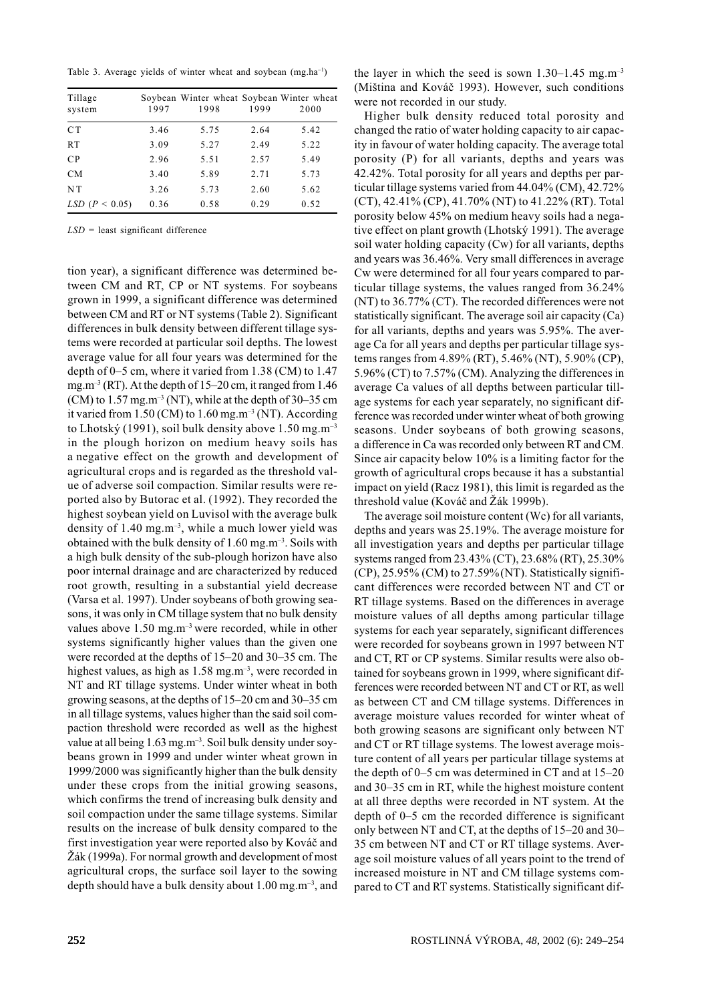Table 3. Average yields of winter wheat and soybean (mg.ha<sup>-1</sup>)

| Tillage<br>system    | 1997 | Soybean Winter wheat Soybean Winter wheat<br>1998 | 1999 | 2000 |
|----------------------|------|---------------------------------------------------|------|------|
| C <sub>T</sub>       | 3.46 | 5.75                                              | 2.64 | 5.42 |
| <b>RT</b>            | 3.09 | 5.27                                              | 2.49 | 5.22 |
| CP                   | 2.96 | 5.51                                              | 2.57 | 5.49 |
| <b>CM</b>            | 3.40 | 5.89                                              | 2.71 | 5.73 |
| NT.                  | 3.26 | 5.73                                              | 2.60 | 5.62 |
| $LSD$ ( $P < 0.05$ ) | 0.36 | 0.58                                              | 0.29 | 0.52 |

 $LSD$  = least significant difference

tion year), a significant difference was determined between CM and RT, CP or NT systems. For soybeans grown in 1999, a significant difference was determined between CM and RT or NT systems (Table 2). Significant differences in bulk density between different tillage systems were recorded at particular soil depths. The lowest average value for all four years was determined for the depth of 0–5 cm, where it varied from 1.38 (CM) to 1.47 mg.m<sup>-3</sup> (RT). At the depth of  $15-20$  cm, it ranged from 1.46 (CM) to  $1.57$  mg,m<sup>-3</sup> (NT), while at the depth of  $30-35$  cm it varied from 1.50 (CM) to  $1.60$  mg.m<sup>-3</sup> (NT). According to Lhotský (1991), soil bulk density above  $1.50$  mg.m<sup>-3</sup> in the plough horizon on medium heavy soils has a negative effect on the growth and development of agricultural crops and is regarded as the threshold value of adverse soil compaction. Similar results were reported also by Butorac et al. (1992). They recorded the highest soybean yield on Luvisol with the average bulk density of 1.40 mg.m<sup>-3</sup>, while a much lower yield was obtained with the bulk density of  $1.60$  mg.m<sup>-3</sup>. Soils with a high bulk density of the sub-plough horizon have also poor internal drainage and are characterized by reduced root growth, resulting in a substantial yield decrease (Varsa et al. 1997). Under soybeans of both growing seasons, it was only in CM tillage system that no bulk density values above  $1.50$  mg.m<sup>-3</sup> were recorded, while in other systems significantly higher values than the given one were recorded at the depths of 15-20 and 30-35 cm. The highest values, as high as  $1.58$  mg.m<sup>-3</sup>, were recorded in NT and RT tillage systems. Under winter wheat in both growing seasons, at the depths of 15–20 cm and 30–35 cm in all tillage systems, values higher than the said soil compaction threshold were recorded as well as the highest value at all being 1.63 mg.m<sup>-3</sup>. Soil bulk density under soybeans grown in 1999 and under winter wheat grown in 1999/2000 was significantly higher than the bulk density under these crops from the initial growing seasons, which confirms the trend of increasing bulk density and soil compaction under the same tillage systems. Similar results on the increase of bulk density compared to the first investigation year were reported also by Kováč and Žák (1999a). For normal growth and development of most agricultural crops, the surface soil layer to the sowing depth should have a bulk density about 1.00 mg.m<sup>-3</sup>, and

the layer in which the seed is sown  $1.30-1.45$  mg.m<sup>-3</sup> (Miština and Kováč 1993). However, such conditions were not recorded in our study.

Higher bulk density reduced total porosity and changed the ratio of water holding capacity to air capacity in favour of water holding capacity. The average total porosity (P) for all variants, depths and years was 42.42%. Total porosity for all years and depths per particular tillage systems varied from 44.04% (CM), 42.72% (CT), 42.41% (CP), 41.70% (NT) to 41.22% (RT). Total porosity below 45% on medium heavy soils had a negative effect on plant growth (Lhotský 1991). The average soil water holding capacity (Cw) for all variants, depths and years was 36.46%. Very small differences in average Cw were determined for all four years compared to particular tillage systems, the values ranged from 36.24% (NT) to 36.77% (CT). The recorded differences were not statistically significant. The average soil air capacity (Ca) for all variants, depths and years was 5.95%. The average Ca for all years and depths per particular tillage systems ranges from 4.89% (RT), 5.46% (NT), 5.90% (CP), 5.96% (CT) to 7.57% (CM). Analyzing the differences in average Ca values of all depths between particular tillage systems for each year separately, no significant difference was recorded under winter wheat of both growing seasons. Under soybeans of both growing seasons, a difference in Ca was recorded only between RT and CM. Since air capacity below 10% is a limiting factor for the growth of agricultural crops because it has a substantial impact on yield (Racz 1981), this limit is regarded as the threshold value (Kováč and Žák 1999b).

The average soil moisture content (Wc) for all variants, depths and years was 25.19%. The average moisture for all investigation years and depths per particular tillage systems ranged from 23.43% (CT), 23.68% (RT), 25.30%  $(CP)$ , 25.95%  $(CM)$  to 27.59% (NT). Statistically significant differences were recorded between NT and CT or RT tillage systems. Based on the differences in average moisture values of all depths among particular tillage systems for each year separately, significant differences were recorded for soybeans grown in 1997 between NT and CT, RT or CP systems. Similar results were also obtained for soybeans grown in 1999, where significant differences were recorded between NT and CT or RT, as well as between CT and CM tillage systems. Differences in average moisture values recorded for winter wheat of both growing seasons are significant only between NT and CT or RT tillage systems. The lowest average moisture content of all years per particular tillage systems at the depth of  $0-5$  cm was determined in CT and at  $15-20$ and 30–35 cm in RT, while the highest moisture content at all three depths were recorded in NT system. At the depth of 0–5 cm the recorded difference is significant only between NT and CT, at the depths of 15–20 and 30– 35 cm between NT and CT or RT tillage systems. Average soil moisture values of all years point to the trend of increased moisture in NT and CM tillage systems compared to CT and RT systems. Statistically significant dif-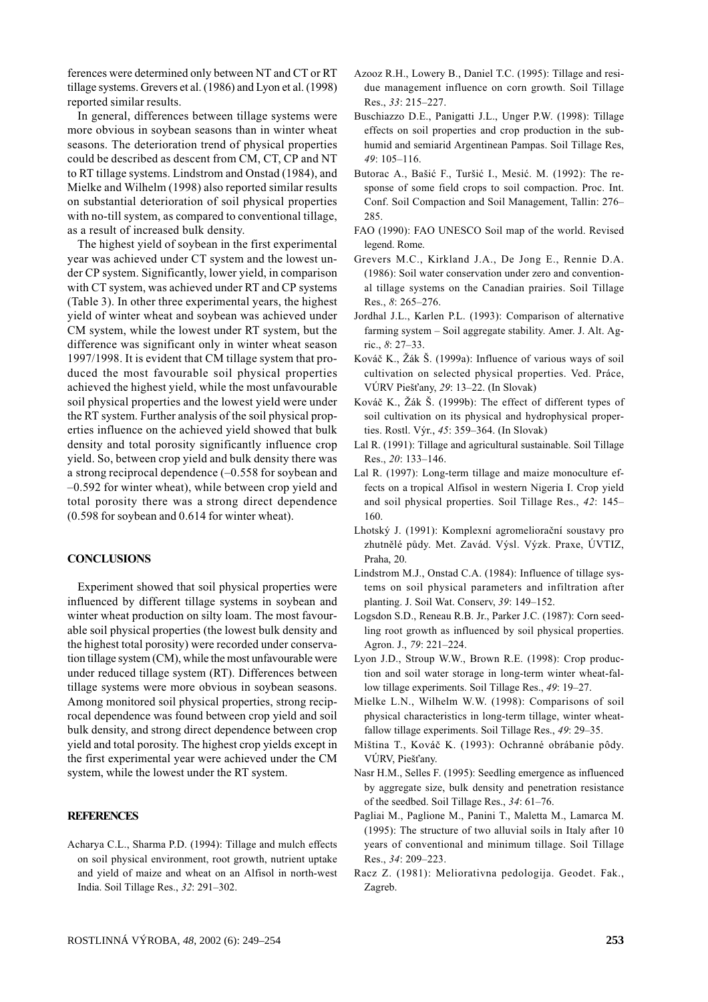ferences were determined only between NT and CT or RT tillage systems. Grevers et al. (1986) and Lyon et al. (1998) reported similar results.

In general, differences between tillage systems were more obvious in sovbean seasons than in winter wheat seasons. The deterioration trend of physical properties could be described as descent from CM, CT, CP and NT to RT tillage systems. Lindstrom and Onstad (1984), and Mielke and Wilhelm (1998) also reported similar results on substantial deterioration of soil physical properties with no-till system, as compared to conventional tillage. as a result of increased bulk density.

The highest vield of sovbean in the first experimental year was achieved under CT system and the lowest under CP system. Significantly, lower yield, in comparison with CT system, was achieved under RT and CP systems (Table 3). In other three experimental years, the highest yield of winter wheat and soybean was achieved under CM system, while the lowest under RT system, but the difference was significant only in winter wheat season 1997/1998. It is evident that CM tillage system that produced the most favourable soil physical properties achieved the highest vield, while the most unfavourable soil physical properties and the lowest yield were under the RT system. Further analysis of the soil physical properties influence on the achieved yield showed that bulk density and total porosity significantly influence crop yield. So, between crop yield and bulk density there was a strong reciprocal dependence  $(-0.558$  for soybean and -0.592 for winter wheat), while between crop yield and total porosity there was a strong direct dependence  $(0.598$  for soybean and  $0.614$  for winter wheat).

## **CONCLUSIONS**

Experiment showed that soil physical properties were influenced by different tillage systems in soybean and winter wheat production on silty loam. The most favourable soil physical properties (the lowest bulk density and the highest total porosity) were recorded under conservation tillage system (CM), while the most unfavourable were under reduced tillage system (RT). Differences between tillage systems were more obvious in soybean seasons. Among monitored soil physical properties, strong reciprocal dependence was found between crop yield and soil bulk density, and strong direct dependence between crop yield and total porosity. The highest crop yields except in the first experimental year were achieved under the CM system, while the lowest under the RT system.

## **REFERENCES**

Acharya C.L., Sharma P.D. (1994): Tillage and mulch effects on soil physical environment, root growth, nutrient uptake and yield of maize and wheat on an Alfisol in north-west India. Soil Tillage Res., 32: 291-302.

- Azooz R.H., Lowery B., Daniel T.C. (1995): Tillage and residue management influence on corn growth. Soil Tillage Res., 33: 215-227.
- Buschiazzo D.E., Panigatti J.L., Unger P.W. (1998): Tillage effects on soil properties and crop production in the subhumid and semiarid Argentinean Pampas. Soil Tillage Res,  $49:105 - 116$
- Butorac A., Bašić F., Turšić I., Mesić. M. (1992): The response of some field crops to soil compaction. Proc. Int. Conf. Soil Compaction and Soil Management, Tallin: 276– 285.
- FAO (1990): FAO UNESCO Soil map of the world. Revised legend. Rome.
- Grevers M.C., Kirkland J.A., De Jong E., Rennie D.A. (1986): Soil water conservation under zero and conventional tillage systems on the Canadian prairies. Soil Tillage Res., 8: 265-276.
- Jordhal J.L., Karlen P.L. (1993): Comparison of alternative farming system – Soil aggregate stability. Amer. J. Alt. Agric., 8: 27-33.
- Kováč K., Žák Š. (1999a): Influence of various ways of soil cultivation on selected physical properties. Ved. Práce, VÚRV Piešťany, 29: 13–22. (In Slovak)
- Kováč K., Žák Š. (1999b): The effect of different types of soil cultivation on its physical and hydrophysical properties. Rostl. Výr., 45: 359-364. (In Slovak)
- Lal R. (1991): Tillage and agricultural sustainable. Soil Tillage Res., 20: 133-146.
- Lal R. (1997): Long-term tillage and maize monoculture effects on a tropical Alfisol in western Nigeria I. Crop yield and soil physical properties. Soil Tillage Res., 42: 145-160.
- Lhotský J. (1991): Komplexní agromeliorační soustavy pro zhutnělé půdy. Met. Zavád. Výsl. Výzk. Praxe, ÚVTIZ, Praha, 20.
- Lindstrom M.J., Onstad C.A. (1984): Influence of tillage systems on soil physical parameters and infiltration after planting. J. Soil Wat. Conserv, 39: 149-152.
- Logsdon S.D., Reneau R.B. Jr., Parker J.C. (1987): Corn seedling root growth as influenced by soil physical properties. Agron. J., 79: 221-224.
- Lyon J.D., Stroup W.W., Brown R.E. (1998): Crop production and soil water storage in long-term winter wheat-fallow tillage experiments. Soil Tillage Res., 49: 19-27.
- Mielke L.N., Wilhelm W.W. (1998): Comparisons of soil physical characteristics in long-term tillage, winter wheatfallow tillage experiments. Soil Tillage Res., 49: 29-35.
- Miština T., Kováč K. (1993): Ochranné obrábanie pôdy. VÚRV, Piešťany.
- Nasr H.M., Selles F. (1995): Seedling emergence as influenced by aggregate size, bulk density and penetration resistance of the seedbed. Soil Tillage Res., 34: 61-76.
- Pagliai M., Paglione M., Panini T., Maletta M., Lamarca M. (1995): The structure of two alluvial soils in Italy after 10 years of conventional and minimum tillage. Soil Tillage Res., 34: 209-223.
- Racz Z. (1981): Meliorativna pedologija. Geodet. Fak., Zagreb.